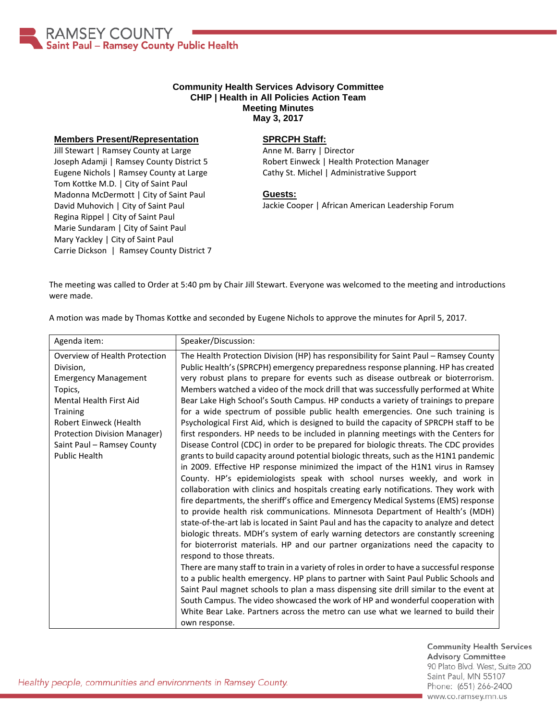

## **Community Health Services Advisory Committee CHIP | Health in All Policies Action Team Meeting Minutes May 3, 2017**

## **Members Present/Representation**

Jill Stewart | Ramsey County at Large Joseph Adamji | Ramsey County District 5 Eugene Nichols | Ramsey County at Large Tom Kottke M.D. | City of Saint Paul Madonna McDermott | City of Saint Paul David Muhovich | City of Saint Paul Regina Rippel | City of Saint Paul Marie Sundaram | City of Saint Paul Mary Yackley | City of Saint Paul Carrie Dickson | Ramsey County District 7

## **SPRCPH Staff:**

Anne M. Barry | Director Robert Einweck | Health Protection Manager Cathy St. Michel | Administrative Support

## **Guests:**

Jackie Cooper | African American Leadership Forum

The meeting was called to Order at 5:40 pm by Chair Jill Stewart. Everyone was welcomed to the meeting and introductions were made.

A motion was made by Thomas Kottke and seconded by Eugene Nichols to approve the minutes for April 5, 2017.

| Agenda item:                                                                                                                                                                                                                                              | Speaker/Discussion:                                                                                                                                                                                                                                                                                                                                                                                                                                                                                                                                                                                                                                                                                                                                                                                                                                                                                                                                                                                                                                                                                                                                                                                                                                                                                                                                                                                                                                                                                                                                                                                                                                                                                                                                                                                                                                                                                                                                                                                                                                                                            |
|-----------------------------------------------------------------------------------------------------------------------------------------------------------------------------------------------------------------------------------------------------------|------------------------------------------------------------------------------------------------------------------------------------------------------------------------------------------------------------------------------------------------------------------------------------------------------------------------------------------------------------------------------------------------------------------------------------------------------------------------------------------------------------------------------------------------------------------------------------------------------------------------------------------------------------------------------------------------------------------------------------------------------------------------------------------------------------------------------------------------------------------------------------------------------------------------------------------------------------------------------------------------------------------------------------------------------------------------------------------------------------------------------------------------------------------------------------------------------------------------------------------------------------------------------------------------------------------------------------------------------------------------------------------------------------------------------------------------------------------------------------------------------------------------------------------------------------------------------------------------------------------------------------------------------------------------------------------------------------------------------------------------------------------------------------------------------------------------------------------------------------------------------------------------------------------------------------------------------------------------------------------------------------------------------------------------------------------------------------------------|
| Overview of Health Protection<br>Division,<br><b>Emergency Management</b><br>Topics,<br>Mental Health First Aid<br><b>Training</b><br>Robert Einweck (Health<br><b>Protection Division Manager)</b><br>Saint Paul - Ramsey County<br><b>Public Health</b> | The Health Protection Division (HP) has responsibility for Saint Paul - Ramsey County<br>Public Health's (SPRCPH) emergency preparedness response planning. HP has created<br>very robust plans to prepare for events such as disease outbreak or bioterrorism.<br>Members watched a video of the mock drill that was successfully performed at White<br>Bear Lake High School's South Campus. HP conducts a variety of trainings to prepare<br>for a wide spectrum of possible public health emergencies. One such training is<br>Psychological First Aid, which is designed to build the capacity of SPRCPH staff to be<br>first responders. HP needs to be included in planning meetings with the Centers for<br>Disease Control (CDC) in order to be prepared for biologic threats. The CDC provides<br>grants to build capacity around potential biologic threats, such as the H1N1 pandemic<br>in 2009. Effective HP response minimized the impact of the H1N1 virus in Ramsey<br>County. HP's epidemiologists speak with school nurses weekly, and work in<br>collaboration with clinics and hospitals creating early notifications. They work with<br>fire departments, the sheriff's office and Emergency Medical Systems (EMS) response<br>to provide health risk communications. Minnesota Department of Health's (MDH)<br>state-of-the-art lab is located in Saint Paul and has the capacity to analyze and detect<br>biologic threats. MDH's system of early warning detectors are constantly screening<br>for bioterrorist materials. HP and our partner organizations need the capacity to<br>respond to those threats.<br>There are many staff to train in a variety of roles in order to have a successful response<br>to a public health emergency. HP plans to partner with Saint Paul Public Schools and<br>Saint Paul magnet schools to plan a mass dispensing site drill similar to the event at<br>South Campus. The video showcased the work of HP and wonderful cooperation with<br>White Bear Lake. Partners across the metro can use what we learned to build their |
|                                                                                                                                                                                                                                                           | own response.                                                                                                                                                                                                                                                                                                                                                                                                                                                                                                                                                                                                                                                                                                                                                                                                                                                                                                                                                                                                                                                                                                                                                                                                                                                                                                                                                                                                                                                                                                                                                                                                                                                                                                                                                                                                                                                                                                                                                                                                                                                                                  |

**Community Health Services Advisory Committee** 90 Plato Blvd. West, Suite 200 Saint Paul, MN 55107 Phone: (651) 266-2400 www.co.ramsey.mn.us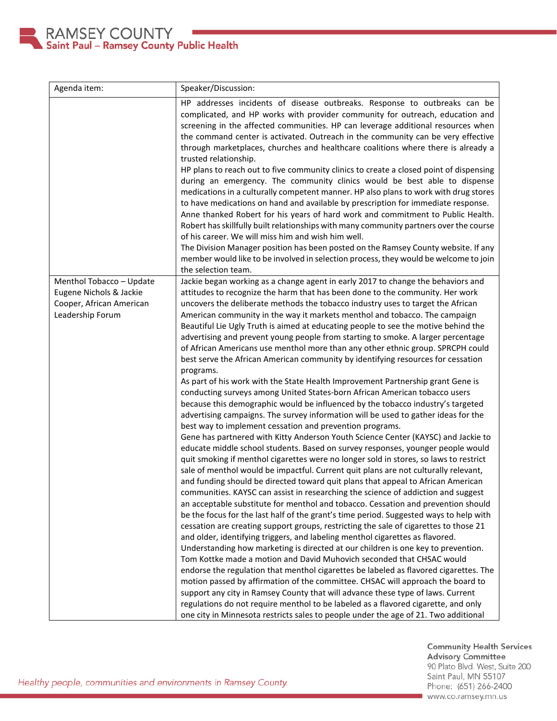

| Agenda item:             | Speaker/Discussion:                                                                                                                                                 |
|--------------------------|---------------------------------------------------------------------------------------------------------------------------------------------------------------------|
|                          | HP addresses incidents of disease outbreaks. Response to outbreaks can be                                                                                           |
|                          | complicated, and HP works with provider community for outreach, education and                                                                                       |
|                          | screening in the affected communities. HP can leverage additional resources when                                                                                    |
|                          | the command center is activated. Outreach in the community can be very effective                                                                                    |
|                          | through marketplaces, churches and healthcare coalitions where there is already a                                                                                   |
|                          | trusted relationship.                                                                                                                                               |
|                          | HP plans to reach out to five community clinics to create a closed point of dispensing                                                                              |
|                          | during an emergency. The community clinics would be best able to dispense                                                                                           |
|                          | medications in a culturally competent manner. HP also plans to work with drug stores                                                                                |
|                          | to have medications on hand and available by prescription for immediate response.                                                                                   |
|                          | Anne thanked Robert for his years of hard work and commitment to Public Health.                                                                                     |
|                          | Robert has skillfully built relationships with many community partners over the course                                                                              |
|                          | of his career. We will miss him and wish him well.                                                                                                                  |
|                          | The Division Manager position has been posted on the Ramsey County website. If any                                                                                  |
|                          | member would like to be involved in selection process, they would be welcome to join                                                                                |
|                          | the selection team.                                                                                                                                                 |
| Menthol Tobacco - Update | Jackie began working as a change agent in early 2017 to change the behaviors and                                                                                    |
| Eugene Nichols & Jackie  | attitudes to recognize the harm that has been done to the community. Her work                                                                                       |
| Cooper, African American | uncovers the deliberate methods the tobacco industry uses to target the African                                                                                     |
| Leadership Forum         | American community in the way it markets menthol and tobacco. The campaign                                                                                          |
|                          | Beautiful Lie Ugly Truth is aimed at educating people to see the motive behind the                                                                                  |
|                          | advertising and prevent young people from starting to smoke. A larger percentage<br>of African Americans use menthol more than any other ethnic group. SPRCPH could |
|                          | best serve the African American community by identifying resources for cessation                                                                                    |
|                          | programs.                                                                                                                                                           |
|                          | As part of his work with the State Health Improvement Partnership grant Gene is                                                                                     |
|                          | conducting surveys among United States-born African American tobacco users                                                                                          |
|                          | because this demographic would be influenced by the tobacco industry's targeted                                                                                     |
|                          | advertising campaigns. The survey information will be used to gather ideas for the                                                                                  |
|                          | best way to implement cessation and prevention programs.                                                                                                            |
|                          | Gene has partnered with Kitty Anderson Youth Science Center (KAYSC) and Jackie to                                                                                   |
|                          | educate middle school students. Based on survey responses, younger people would                                                                                     |
|                          | quit smoking if menthol cigarettes were no longer sold in stores, so laws to restrict                                                                               |
|                          | sale of menthol would be impactful. Current quit plans are not culturally relevant,                                                                                 |
|                          | and funding should be directed toward quit plans that appeal to African American                                                                                    |
|                          | communities. KAYSC can assist in researching the science of addiction and suggest                                                                                   |
|                          | an acceptable substitute for menthol and tobacco. Cessation and prevention should                                                                                   |
|                          | be the focus for the last half of the grant's time period. Suggested ways to help with                                                                              |
|                          | cessation are creating support groups, restricting the sale of cigarettes to those 21                                                                               |
|                          | and older, identifying triggers, and labeling menthol cigarettes as flavored.                                                                                       |
|                          | Understanding how marketing is directed at our children is one key to prevention.                                                                                   |
|                          | Tom Kottke made a motion and David Muhovich seconded that CHSAC would                                                                                               |
|                          | endorse the regulation that menthol cigarettes be labeled as flavored cigarettes. The                                                                               |
|                          | motion passed by affirmation of the committee. CHSAC will approach the board to                                                                                     |
|                          | support any city in Ramsey County that will advance these type of laws. Current                                                                                     |
|                          | regulations do not require menthol to be labeled as a flavored cigarette, and only                                                                                  |
|                          | one city in Minnesota restricts sales to people under the age of 21. Two additional                                                                                 |

Community Health Services<br>Advisory Committee 90 Plato Blvd. West, Suite 200 Saint Paul, MN 55107 Phone: (651) 266-2400 www.co.ramsey.mn.us

Healthy people, communities and environments in Ramsey County.